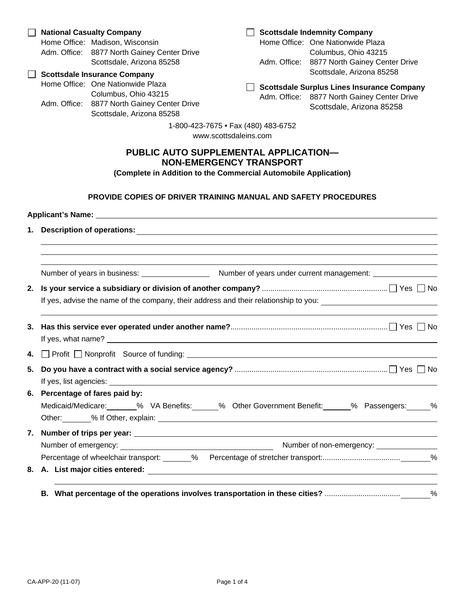# **PUBLIC AUTO SUPPLEMENTAL APPLICATION— NON-EMERGENCY TRANSPORT**

**(Complete in Addition to the Commercial Automobile Application)** 

## **PROVIDE COPIES OF DRIVER TRAINING MANUAL AND SAFETY PROCEDURES**

| 2. |                                                                                                                                                                                                                                |  |  |  |  |  |  |  |
|----|--------------------------------------------------------------------------------------------------------------------------------------------------------------------------------------------------------------------------------|--|--|--|--|--|--|--|
|    | If yes, advise the name of the company, their address and their relationship to you: _________________________                                                                                                                 |  |  |  |  |  |  |  |
| 3. |                                                                                                                                                                                                                                |  |  |  |  |  |  |  |
|    | 4. Profit Nonprofit Source of funding: 1997 March 2014 1997 March 2014 1997 March 2014 1997 March 2014 1997 March 2014 1997 March 2014 1997 March 2014 1997 March 2014 1997 March 2014 1997 March 2014 1997 March 2014 1997 Ma |  |  |  |  |  |  |  |
| 5. |                                                                                                                                                                                                                                |  |  |  |  |  |  |  |
|    | 6. Percentage of fares paid by:<br>Medicaid/Medicare: _______% VA Benefits: ______% Other Government Benefit: ______% Passengers: _____%                                                                                       |  |  |  |  |  |  |  |
|    |                                                                                                                                                                                                                                |  |  |  |  |  |  |  |
|    |                                                                                                                                                                                                                                |  |  |  |  |  |  |  |
|    |                                                                                                                                                                                                                                |  |  |  |  |  |  |  |
|    |                                                                                                                                                                                                                                |  |  |  |  |  |  |  |
|    |                                                                                                                                                                                                                                |  |  |  |  |  |  |  |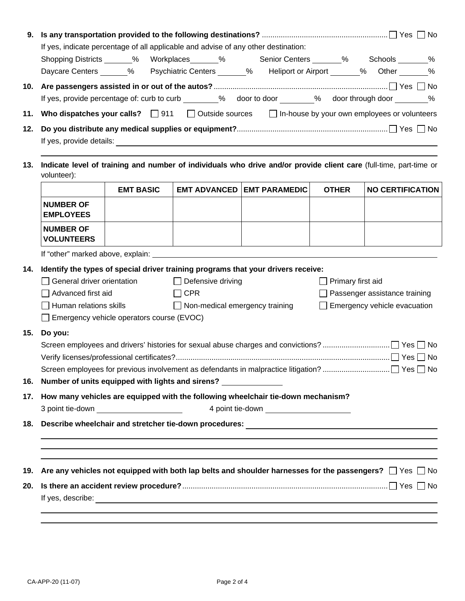|                                                                                                                    | If yes, indicate percentage of all applicable and advise of any other destination: |            |                          |                                                                                                                                                                                                                                |                   | Shopping Districts ______% Workplaces ______% Senior Centers _______% Schools _______%                            |  |  |  |
|--------------------------------------------------------------------------------------------------------------------|------------------------------------------------------------------------------------|------------|--------------------------|--------------------------------------------------------------------------------------------------------------------------------------------------------------------------------------------------------------------------------|-------------------|-------------------------------------------------------------------------------------------------------------------|--|--|--|
|                                                                                                                    |                                                                                    |            |                          |                                                                                                                                                                                                                                |                   | Daycare Centers ______% Psychiatric Centers ______% Heliport or Airport ______% Other ______%                     |  |  |  |
|                                                                                                                    |                                                                                    |            |                          |                                                                                                                                                                                                                                |                   |                                                                                                                   |  |  |  |
|                                                                                                                    |                                                                                    |            |                          |                                                                                                                                                                                                                                |                   | If yes, provide percentage of: curb to curb ________% door to door _______% door through door ________%           |  |  |  |
| 11.                                                                                                                |                                                                                    |            |                          |                                                                                                                                                                                                                                |                   | Who dispatches your calls? $\Box$ 911 $\Box$ Outside sources $\Box$ In-house by your own employees or volunteers  |  |  |  |
|                                                                                                                    |                                                                                    |            |                          |                                                                                                                                                                                                                                |                   |                                                                                                                   |  |  |  |
|                                                                                                                    |                                                                                    |            |                          |                                                                                                                                                                                                                                |                   |                                                                                                                   |  |  |  |
|                                                                                                                    |                                                                                    |            |                          | If yes, provide details: The Communication of the Communication of the Communication of the Communication of the Communication of the Communication of the Communication of the Communication of the Communication of the Comm |                   |                                                                                                                   |  |  |  |
| Indicate level of training and number of individuals who drive and/or provide client care (full-time, part-time or |                                                                                    |            |                          |                                                                                                                                                                                                                                |                   |                                                                                                                   |  |  |  |
| volunteer):                                                                                                        | <b>EMT BASIC</b>                                                                   |            |                          | <b>EMT ADVANCED EMT PARAMEDIC</b>                                                                                                                                                                                              | <b>OTHER</b>      | <b>NO CERTIFICATION</b>                                                                                           |  |  |  |
| <b>NUMBER OF</b><br><b>EMPLOYEES</b>                                                                               |                                                                                    |            |                          |                                                                                                                                                                                                                                |                   |                                                                                                                   |  |  |  |
| <b>NUMBER OF</b><br><b>VOLUNTEERS</b>                                                                              |                                                                                    |            |                          |                                                                                                                                                                                                                                |                   |                                                                                                                   |  |  |  |
|                                                                                                                    |                                                                                    |            |                          |                                                                                                                                                                                                                                |                   |                                                                                                                   |  |  |  |
| Identify the types of special driver training programs that your drivers receive:                                  |                                                                                    |            |                          |                                                                                                                                                                                                                                |                   |                                                                                                                   |  |  |  |
| General driver orientation                                                                                         |                                                                                    |            | $\Box$ Defensive driving |                                                                                                                                                                                                                                | Primary first aid |                                                                                                                   |  |  |  |
| Advanced first aid                                                                                                 |                                                                                    | $\Box$ CPR |                          |                                                                                                                                                                                                                                |                   | Passenger assistance training                                                                                     |  |  |  |
| Human relations skills                                                                                             |                                                                                    |            |                          | $\Box$ Non-medical emergency training                                                                                                                                                                                          |                   | Emergency vehicle evacuation                                                                                      |  |  |  |
|                                                                                                                    | $\Box$ Emergency vehicle operators course (EVOC)                                   |            |                          |                                                                                                                                                                                                                                |                   |                                                                                                                   |  |  |  |
| Do you:                                                                                                            |                                                                                    |            |                          |                                                                                                                                                                                                                                |                   |                                                                                                                   |  |  |  |
|                                                                                                                    |                                                                                    |            |                          |                                                                                                                                                                                                                                |                   |                                                                                                                   |  |  |  |
|                                                                                                                    |                                                                                    |            |                          |                                                                                                                                                                                                                                |                   |                                                                                                                   |  |  |  |
| Number of units equipped with lights and sirens? _____________                                                     |                                                                                    |            |                          |                                                                                                                                                                                                                                |                   |                                                                                                                   |  |  |  |
|                                                                                                                    |                                                                                    |            |                          | How many vehicles are equipped with the following wheelchair tie-down mechanism?                                                                                                                                               |                   |                                                                                                                   |  |  |  |
|                                                                                                                    |                                                                                    |            |                          |                                                                                                                                                                                                                                |                   |                                                                                                                   |  |  |  |
|                                                                                                                    |                                                                                    |            |                          |                                                                                                                                                                                                                                |                   |                                                                                                                   |  |  |  |
| ,我们也不会有什么。""我们的人,我们也不会有什么?""我们的人,我们也不会有什么?""我们的人,我们也不会有什么?""我们的人,我们也不会有什么?""我们的人                                   |                                                                                    |            |                          |                                                                                                                                                                                                                                |                   |                                                                                                                   |  |  |  |
|                                                                                                                    |                                                                                    |            |                          | ,我们也不会有什么。""我们的人,我们也不会有什么?""我们的人,我们也不会有什么?""我们的人,我们也不会有什么?""我们的人,我们也不会有什么?""我们的人                                                                                                                                               |                   | ,我们也不会有什么。""我们的人,我们也不会有什么?""我们的人,我们也不会有什么?""我们的人,我们也不会有什么?""我们的人,我们也不会有什么?""我们的人                                  |  |  |  |
|                                                                                                                    |                                                                                    |            |                          |                                                                                                                                                                                                                                |                   |                                                                                                                   |  |  |  |
| 19.                                                                                                                |                                                                                    |            |                          |                                                                                                                                                                                                                                |                   | Are any vehicles not equipped with both lap belts and shoulder harnesses for the passengers? $\Box$ Yes $\Box$ No |  |  |  |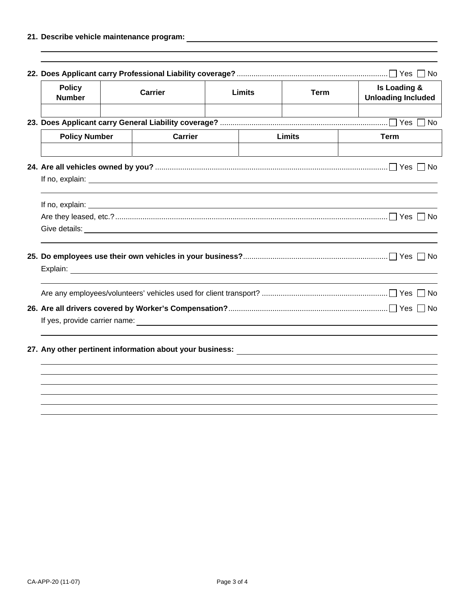| <b>Policy</b><br><b>Number</b>                                                                                                                                                                                                                                                                                                                                                   | <b>Carrier</b> |                | <b>Limits</b> | <b>Term</b>   | Is Loading &<br><b>Unloading Included</b> |  |  |
|----------------------------------------------------------------------------------------------------------------------------------------------------------------------------------------------------------------------------------------------------------------------------------------------------------------------------------------------------------------------------------|----------------|----------------|---------------|---------------|-------------------------------------------|--|--|
|                                                                                                                                                                                                                                                                                                                                                                                  |                |                |               |               |                                           |  |  |
| <b>Policy Number</b>                                                                                                                                                                                                                                                                                                                                                             |                | <b>Carrier</b> |               | <b>Limits</b> | <b>Term</b>                               |  |  |
|                                                                                                                                                                                                                                                                                                                                                                                  |                |                |               |               |                                           |  |  |
| If no, explain:<br><u> 1989 - Johann Stoff, deutscher Stoff, der Stoff, der Stoff, der Stoff, der Stoff, der Stoff, der Stoff, der S</u><br>Give details: <u>example and the contract of the contract of the contract of the contract of the contract of the contract of the contract of the contract of the contract of the contract of the contract of the contract of the</u> |                |                |               |               |                                           |  |  |
|                                                                                                                                                                                                                                                                                                                                                                                  |                |                |               |               |                                           |  |  |
|                                                                                                                                                                                                                                                                                                                                                                                  |                |                |               |               |                                           |  |  |
|                                                                                                                                                                                                                                                                                                                                                                                  |                |                |               |               |                                           |  |  |
|                                                                                                                                                                                                                                                                                                                                                                                  |                |                |               |               |                                           |  |  |
|                                                                                                                                                                                                                                                                                                                                                                                  |                |                |               |               |                                           |  |  |
|                                                                                                                                                                                                                                                                                                                                                                                  |                |                |               |               |                                           |  |  |